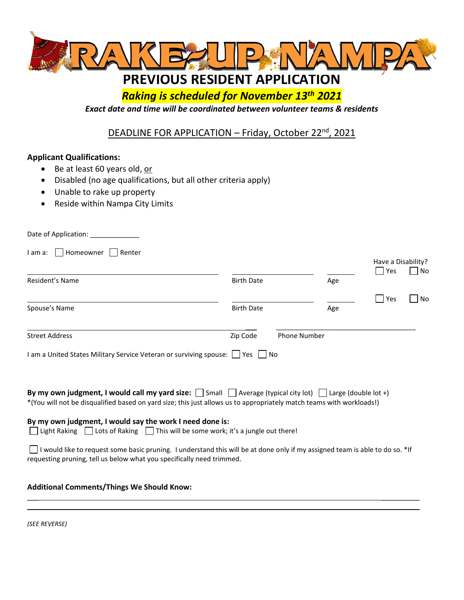

# *Raking is scheduled for November 13th 2021*

*Exact date and time will be coordinated between volunteer teams & residents*

## DEADLINE FOR APPLICATION - Friday, October 22<sup>nd</sup>, 2021

## **Applicant Qualifications:**

- Be at least 60 years old, or
- Disabled (no age qualifications, but all other criteria apply)
- Unable to rake up property
- Reside within Nampa City Limits

| Date of Application:                                                                                                                                                                                                                              |                   |                     |     |                                     |    |
|---------------------------------------------------------------------------------------------------------------------------------------------------------------------------------------------------------------------------------------------------|-------------------|---------------------|-----|-------------------------------------|----|
| Homeowner<br>I am a:<br>Renter                                                                                                                                                                                                                    |                   |                     |     | Have a Disability?<br>Yes<br>$\sim$ | No |
| Resident's Name                                                                                                                                                                                                                                   | <b>Birth Date</b> |                     | Age |                                     |    |
| Spouse's Name                                                                                                                                                                                                                                     | <b>Birth Date</b> |                     | Age | $\overline{\phantom{0}}$<br>Yes     | No |
| <b>Street Address</b>                                                                                                                                                                                                                             | Zip Code          | <b>Phone Number</b> |     |                                     |    |
| I am a United States Military Service Veteran or surviving spouse: Similyes Mo                                                                                                                                                                    |                   |                     |     |                                     |    |
| By my own judgment, I would call my yard size: $\Box$ Small $\Box$ Average (typical city lot) $\Box$ Large (double lot +)<br>*(You will not be disqualified based on yard size; this just allows us to appropriately match teams with workloads!) |                   |                     |     |                                     |    |
| By my own judgment, I would say the work I need done is:<br>Light Raking Lots of Raking This will be some work; it's a jungle out there!                                                                                                          |                   |                     |     |                                     |    |
| I would like to request some basic pruning. I understand this will be at done only if my assigned team is able to do so. *If<br>requesting pruning, tell us below what you specifically need trimmed.                                             |                   |                     |     |                                     |    |
| <b>Additional Comments/Things We Should Know:</b>                                                                                                                                                                                                 |                   |                     |     |                                     |    |

 $\mathcal{L}_\mathcal{L}$  , and the set of the set of the set of the set of the set of the set of the set of the set of the set of the set of the set of the set of the set of the set of the set of the set of the set of the set of th

 $\overline{\phantom{a}}$ 

|  | (SEE REVERSE) |
|--|---------------|
|--|---------------|